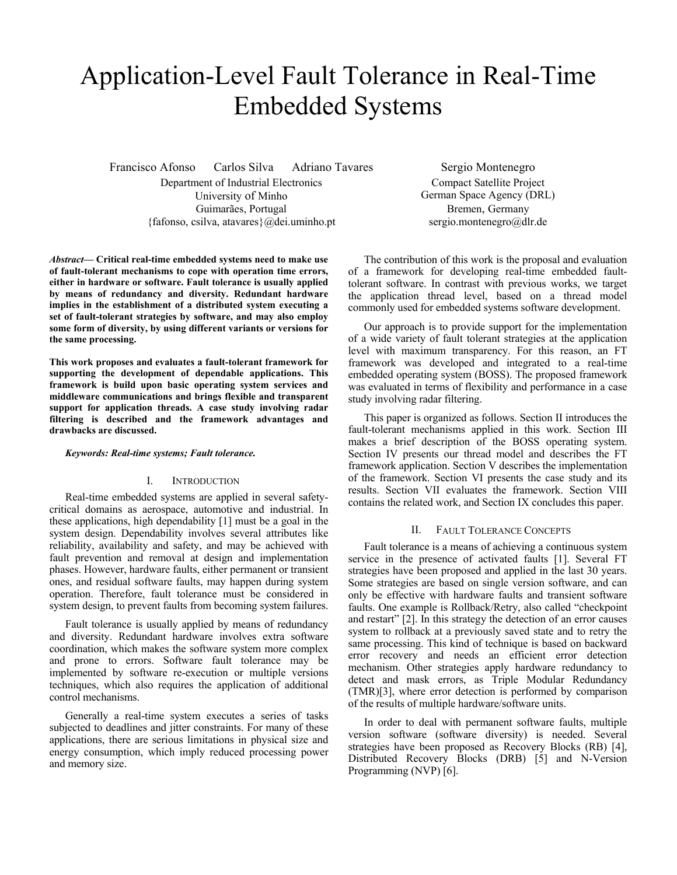# Application-Level Fault Tolerance in Real-Time Embedded Systems

Francisco Afonso Carlos Silva Adriano Tavares Department of Industrial Electronics University of Minho Guimarães, Portugal {fafonso, csilva, atavares}@dei.uminho.pt

*Abstract***— Critical real-time embedded systems need to make use of fault-tolerant mechanisms to cope with operation time errors, either in hardware or software. Fault tolerance is usually applied by means of redundancy and diversity. Redundant hardware implies in the establishment of a distributed system executing a set of fault-tolerant strategies by software, and may also employ some form of diversity, by using different variants or versions for the same processing.** 

**This work proposes and evaluates a fault-tolerant framework for supporting the development of dependable applications. This framework is build upon basic operating system services and middleware communications and brings flexible and transparent support for application threads. A case study involving radar filtering is described and the framework advantages and drawbacks are discussed.** 

### *Keywords: Real-time systems; Fault tolerance.*

# I. INTRODUCTION

Real-time embedded systems are applied in several safetycritical domains as aerospace, automotive and industrial. In these applications, high dependability [1] must be a goal in the system design. Dependability involves several attributes like reliability, availability and safety, and may be achieved with fault prevention and removal at design and implementation phases. However, hardware faults, either permanent or transient ones, and residual software faults, may happen during system operation. Therefore, fault tolerance must be considered in system design, to prevent faults from becoming system failures.

Fault tolerance is usually applied by means of redundancy and diversity. Redundant hardware involves extra software coordination, which makes the software system more complex and prone to errors. Software fault tolerance may be implemented by software re-execution or multiple versions techniques, which also requires the application of additional control mechanisms.

Generally a real-time system executes a series of tasks subjected to deadlines and jitter constraints. For many of these applications, there are serious limitations in physical size and energy consumption, which imply reduced processing power and memory size.

Sergio Montenegro Compact Satellite Project German Space Agency (DRL) Bremen, Germany sergio.montenegro@dlr.de

The contribution of this work is the proposal and evaluation of a framework for developing real-time embedded faulttolerant software. In contrast with previous works, we target the application thread level, based on a thread model commonly used for embedded systems software development.

Our approach is to provide support for the implementation of a wide variety of fault tolerant strategies at the application level with maximum transparency. For this reason, an FT framework was developed and integrated to a real-time embedded operating system (BOSS). The proposed framework was evaluated in terms of flexibility and performance in a case study involving radar filtering.

This paper is organized as follows. Section II introduces the fault-tolerant mechanisms applied in this work. Section III makes a brief description of the BOSS operating system. Section IV presents our thread model and describes the FT framework application. Section V describes the implementation of the framework. Section VI presents the case study and its results. Section VII evaluates the framework. Section VIII contains the related work, and Section IX concludes this paper.

# II. FAULT TOLERANCE CONCEPTS

Fault tolerance is a means of achieving a continuous system service in the presence of activated faults [1]. Several FT strategies have been proposed and applied in the last 30 years. Some strategies are based on single version software, and can only be effective with hardware faults and transient software faults. One example is Rollback/Retry, also called "checkpoint and restart" [2]. In this strategy the detection of an error causes system to rollback at a previously saved state and to retry the same processing. This kind of technique is based on backward error recovery and needs an efficient error detection mechanism. Other strategies apply hardware redundancy to detect and mask errors, as Triple Modular Redundancy (TMR)[3], where error detection is performed by comparison of the results of multiple hardware/software units.

In order to deal with permanent software faults, multiple version software (software diversity) is needed. Several strategies have been proposed as Recovery Blocks (RB) [4], Distributed Recovery Blocks (DRB) [5] and N-Version Programming (NVP) [6].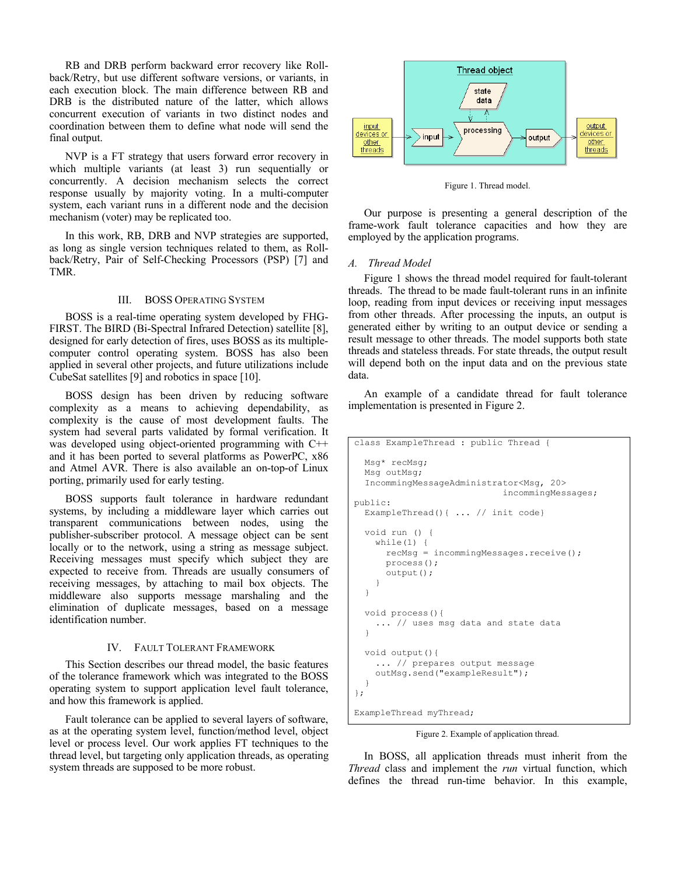RB and DRB perform backward error recovery like Rollback/Retry, but use different software versions, or variants, in each execution block. The main difference between RB and DRB is the distributed nature of the latter, which allows concurrent execution of variants in two distinct nodes and coordination between them to define what node will send the final output.

NVP is a FT strategy that users forward error recovery in which multiple variants (at least 3) run sequentially or concurrently. A decision mechanism selects the correct response usually by majority voting. In a multi-computer system, each variant runs in a different node and the decision mechanism (voter) may be replicated too.

In this work, RB, DRB and NVP strategies are supported, as long as single version techniques related to them, as Rollback/Retry, Pair of Self-Checking Processors (PSP) [7] and TMR.

## III. BOSS OPERATING SYSTEM

BOSS is a real-time operating system developed by FHG-FIRST. The BIRD (Bi-Spectral Infrared Detection) satellite [8], designed for early detection of fires, uses BOSS as its multiplecomputer control operating system. BOSS has also been applied in several other projects, and future utilizations include CubeSat satellites [9] and robotics in space [10].

BOSS design has been driven by reducing software complexity as a means to achieving dependability, as complexity is the cause of most development faults. The system had several parts validated by formal verification. It was developed using object-oriented programming with C++ and it has been ported to several platforms as PowerPC, x86 and Atmel AVR. There is also available an on-top-of Linux porting, primarily used for early testing.

BOSS supports fault tolerance in hardware redundant systems, by including a middleware layer which carries out transparent communications between nodes, using the publisher-subscriber protocol. A message object can be sent locally or to the network, using a string as message subject. Receiving messages must specify which subject they are expected to receive from. Threads are usually consumers of receiving messages, by attaching to mail box objects. The middleware also supports message marshaling and the elimination of duplicate messages, based on a message identification number.

## IV. FAULT TOLERANT FRAMEWORK

This Section describes our thread model, the basic features of the tolerance framework which was integrated to the BOSS operating system to support application level fault tolerance, and how this framework is applied.

Fault tolerance can be applied to several layers of software, as at the operating system level, function/method level, object level or process level. Our work applies FT techniques to the thread level, but targeting only application threads, as operating system threads are supposed to be more robust.



Figure 1. Thread model.

Our purpose is presenting a general description of the frame-work fault tolerance capacities and how they are employed by the application programs.

## *A. Thread Model*

Figure 1 shows the thread model required for fault-tolerant threads. The thread to be made fault-tolerant runs in an infinite loop, reading from input devices or receiving input messages from other threads. After processing the inputs, an output is generated either by writing to an output device or sending a result message to other threads. The model supports both state threads and stateless threads. For state threads, the output result will depend both on the input data and on the previous state data.

An example of a candidate thread for fault tolerance implementation is presented in Figure 2.

```
class ExampleThread : public Thread { 
   Msg* recMsg; 
   Msg outMsg; 
   IncommingMessageAdministrator<Msg, 20> 
                                incommingMessages; 
public: 
  ExampleThread(){ ... // init code}
   void run () { 
    while(1) {
       recMsg = incommingMessages.receive(); 
       process(); 
       output(); 
     } 
   } 
   void process(){ 
     ... // uses msg data and state data 
   } 
   void output(){ 
    ... // prepares output message
     outMsg.send("exampleResult"); 
   } 
}; 
ExampleThread myThread;
```
Figure 2. Example of application thread.

In BOSS, all application threads must inherit from the *Thread* class and implement the *run* virtual function, which defines the thread run-time behavior. In this example,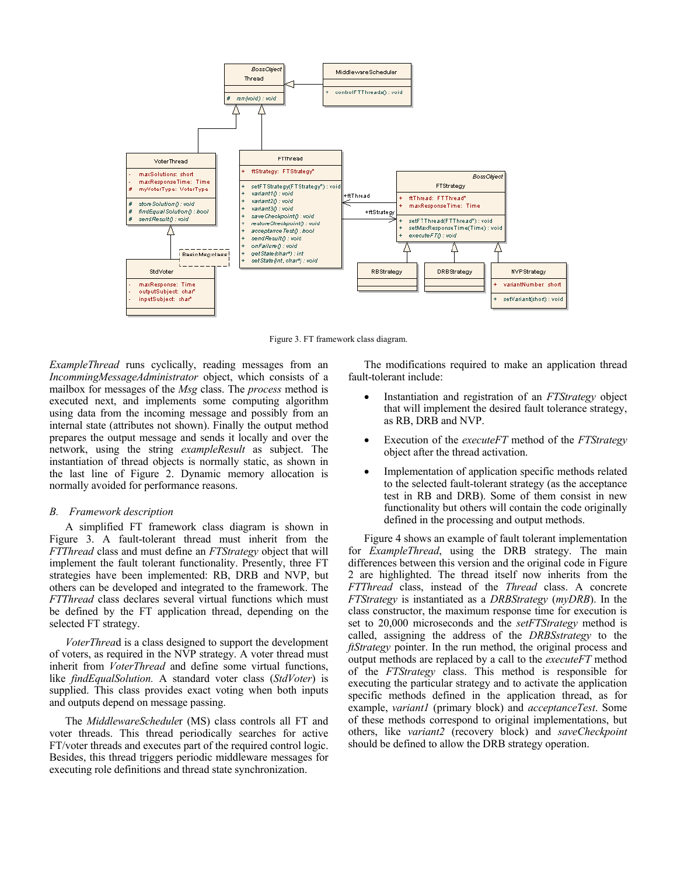

Figure 3. FT framework class diagram.

*ExampleThread* runs cyclically, reading messages from an *IncommingMessageAdministrator* object, which consists of a mailbox for messages of the *Msg* class. The *process* method is executed next, and implements some computing algorithm using data from the incoming message and possibly from an internal state (attributes not shown). Finally the output method prepares the output message and sends it locally and over the network, using the string *exampleResult* as subject. The instantiation of thread objects is normally static, as shown in the last line of Figure 2. Dynamic memory allocation is normally avoided for performance reasons.

# *B. Framework description*

A simplified FT framework class diagram is shown in Figure 3. A fault-tolerant thread must inherit from the *FTThread* class and must define an *FTStrategy* object that will implement the fault tolerant functionality. Presently, three FT strategies have been implemented: RB, DRB and NVP, but others can be developed and integrated to the framework. The *FTThread* class declares several virtual functions which must be defined by the FT application thread, depending on the selected FT strategy.

*VoterThrea*d is a class designed to support the development of voters, as required in the NVP strategy. A voter thread must inherit from *VoterThread* and define some virtual functions, like *findEqualSolution.* A standard voter class (*StdVoter*) is supplied. This class provides exact voting when both inputs and outputs depend on message passing.

The *MiddlewareSchedule*r (MS) class controls all FT and voter threads. This thread periodically searches for active FT/voter threads and executes part of the required control logic. Besides, this thread triggers periodic middleware messages for executing role definitions and thread state synchronization.

The modifications required to make an application thread fault-tolerant include:

- Instantiation and registration of an *FTStrategy* object that will implement the desired fault tolerance strategy, as RB, DRB and NVP.
- Execution of the *executeFT* method of the *FTStrategy* object after the thread activation.
- Implementation of application specific methods related to the selected fault-tolerant strategy (as the acceptance test in RB and DRB). Some of them consist in new functionality but others will contain the code originally defined in the processing and output methods.

Figure 4 shows an example of fault tolerant implementation for *ExampleThread*, using the DRB strategy. The main differences between this version and the original code in Figure 2 are highlighted. The thread itself now inherits from the *FTThread* class, instead of the *Thread* class. A concrete *FTStrategy* is instantiated as a *DRBStrategy* (*myDRB*). In the class constructor, the maximum response time for execution is set to 20,000 microseconds and the *setFTStrategy* method is called, assigning the address of the *DRBSstrategy* to the *ftStrategy* pointer. In the run method, the original process and output methods are replaced by a call to the *executeFT* method of the *FTStrategy* class. This method is responsible for executing the particular strategy and to activate the application specific methods defined in the application thread, as for example, *variant1* (primary block) and *acceptanceTest*. Some of these methods correspond to original implementations, but others, like *variant2* (recovery block) and *saveCheckpoint*  should be defined to allow the DRB strategy operation.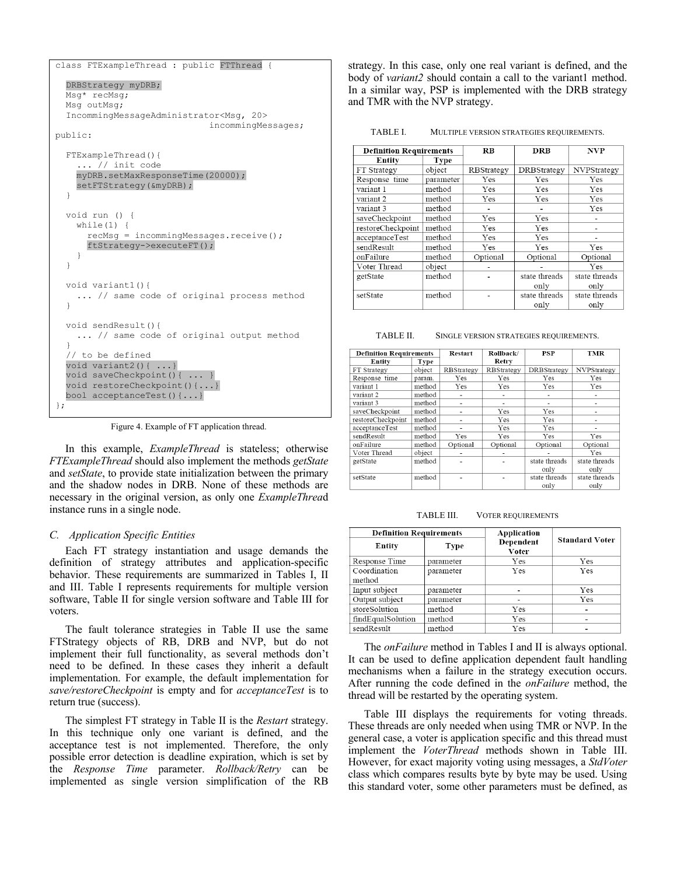```
class FTExampleThread : public FTThread { 
   DRBStrategy myDRB; 
   Msg* recMsg; 
   Msg outMsg; 
   IncommingMessageAdministrator<Msg, 20> 
                                incommingMessages; 
public: 
   FTExampleThread(){ 
      ... // init code 
     myDRB.setMaxResponseTime(20000); 
     setFTStrategy(&myDRB); 
 } 
   void run () { 
    while(1) {
       recMsg = incommingMessages.receive(); 
       ftStrategy->executeFT(); 
\qquad \qquad \} } 
   void variant1(){ 
     ... // same code of original process method 
   } 
   void sendResult(){ 
   ... // same code of original output method
 } 
   // to be defined 
   void variant2(){ ...} 
   void saveCheckpoint(){ ... } 
   void restoreCheckpoint(){...} 
   bool acceptanceTest(){...} 
};
```
Figure 4. Example of FT application thread.

In this example, *ExampleThread* is stateless; otherwise *FTExampleThread* should also implement the methods *getState* and *setState*, to provide state initialization between the primary and the shadow nodes in DRB. None of these methods are necessary in the original version, as only one *ExampleThrea*d instance runs in a single node.

# *C. Application Specific Entities*

Each FT strategy instantiation and usage demands the definition of strategy attributes and application-specific behavior. These requirements are summarized in Tables I, II and III. Table I represents requirements for multiple version software, Table II for single version software and Table III for voters.

The fault tolerance strategies in Table II use the same FTStrategy objects of RB, DRB and NVP, but do not implement their full functionality, as several methods don't need to be defined. In these cases they inherit a default implementation. For example, the default implementation for *save/restoreCheckpoint* is empty and for *acceptanceTest* is to return true (success).

The simplest FT strategy in Table II is the *Restart* strategy. In this technique only one variant is defined, and the acceptance test is not implemented. Therefore, the only possible error detection is deadline expiration, which is set by the *Response Time* parameter. *Rollback/Retry* can be implemented as single version simplification of the RB strategy. In this case, only one real variant is defined, and the body of *variant2* should contain a call to the variant1 method. In a similar way, PSP is implemented with the DRB strategy and TMR with the NVP strategy.

TABLE I. MULTIPLE VERSION STRATEGIES REQUIREMENTS.

| <b>Definition Requirements</b> |             | RB         | <b>DRB</b>    | <b>NVP</b>    |
|--------------------------------|-------------|------------|---------------|---------------|
| Entity                         | <b>Type</b> |            |               |               |
| FT Strategy                    | object      | RBStrategy | DRBStrategy   | NVPStrategy   |
| Response time                  | parameter   | Yes        | Yes           | Yes           |
| variant 1                      | method      | Yes        | Yes           | Yes           |
| variant 2                      | method      | Yes        | Yes           | Yes           |
| variant 3                      | method      |            |               | Yes           |
| saveCheckpoint                 | method      | Yes        | Yes           | -             |
| restoreCheckpoint              | method      | Yes        | Yes           |               |
| acceptanceTest                 | method      | Yes        | Yes           |               |
| sendResult                     | method      | Yes        | Yes           | Yes           |
| onFailure                      | method      | Optional   | Optional      | Optional      |
| Voter Thread                   | object      |            |               | Yes           |
| getState                       | method      |            | state threads | state threads |
|                                |             |            | only          | only          |
| setState                       | method      |            | state threads | state threads |
|                                |             |            | only          | only          |

TABLE II. SINGLE VERSION STRATEGIES REQUIREMENTS.

| <b>Definition Requirements</b> |        | Rollback/<br>Restart |            | <b>PSP</b>         | <b>TMR</b>    |
|--------------------------------|--------|----------------------|------------|--------------------|---------------|
| Entity                         | Type   |                      | Retry      |                    |               |
| FT Strategy                    | object | RBStrategy           | RBStrategy | <b>DRBStrategy</b> | NVPStrategy   |
| Response time                  | param. | Yes                  | Yes        | Yes                | Yes           |
| variant 1                      | method | Yes                  | Yes        | Yes                | Yes           |
| variant 2                      | method | ٠                    |            | ۰                  | ٠             |
| variant 3                      | method |                      |            |                    |               |
| saveCheckpoint                 | method | ۰                    | Yes        | Yes                |               |
| restoreCheckpoint              | method |                      | Yes        | Yes                |               |
| acceptanceTest                 | method | -                    | Yes        | Yes                | ۰             |
| sendResult                     | method | Yes                  | Yes        | Yes                | Yes           |
| onFailure                      | method | Optional             | Optional   | Optional           | Optional      |
| Voter Thread                   | object |                      |            |                    | Yes           |
| getState                       | method |                      |            | state threads      | state threads |
|                                |        |                      |            | only               | only          |
| setState                       | method |                      |            | state threads      | state threads |
|                                |        |                      |            | only               | only          |

TABLE III. VOTER REQUIREMENTS

| <b>Definition Requirements</b> |             | Application        |                       |  |
|--------------------------------|-------------|--------------------|-----------------------|--|
| Entity                         | <b>Type</b> | Dependent<br>Voter | <b>Standard Voter</b> |  |
| Response Time                  | parameter   | Yes                | Yes                   |  |
| Coordination<br>method         | parameter   | Yes                | Yes                   |  |
| Input subject                  | parameter   |                    | Yes                   |  |
| Output subject                 | parameter   |                    | Yes                   |  |
| storeSolution                  | method      | Yes                |                       |  |
| findEqualSolution              | method      | Yes                |                       |  |
| sendResult                     | method      | Yes                |                       |  |

The *onFailure* method in Tables I and II is always optional. It can be used to define application dependent fault handling mechanisms when a failure in the strategy execution occurs. After running the code defined in the *onFailure* method, the thread will be restarted by the operating system.

Table III displays the requirements for voting threads. These threads are only needed when using TMR or NVP. In the general case, a voter is application specific and this thread must implement the *VoterThread* methods shown in Table III. However, for exact majority voting using messages, a *StdVoter* class which compares results byte by byte may be used. Using this standard voter, some other parameters must be defined, as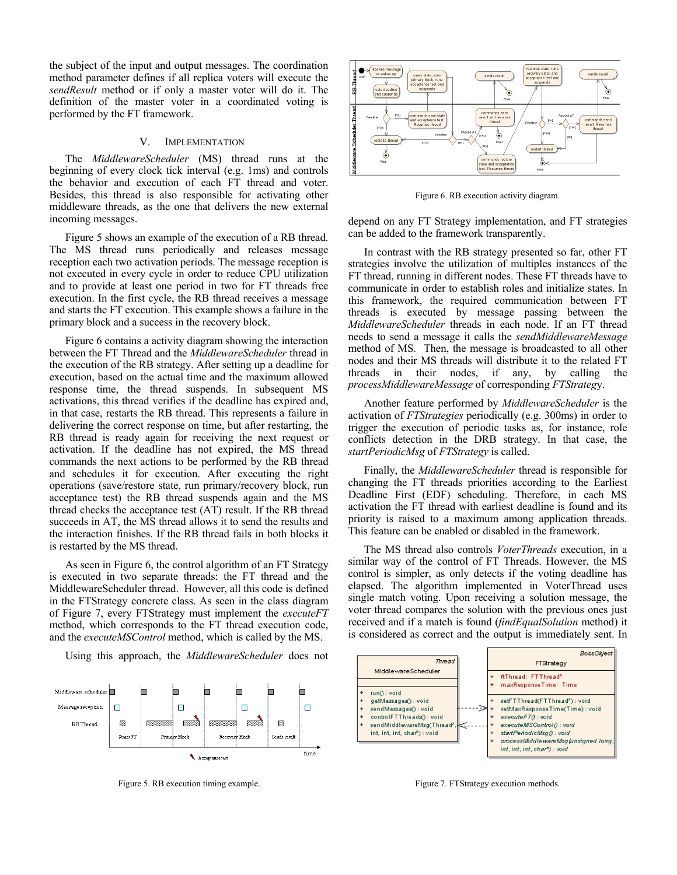the subject of the input and output messages. The coordination method parameter defines if all replica voters will execute the *sendResult* method or if only a master voter will do it. The definition of the master voter in a coordinated voting is performed by the FT framework.

# V. IMPLEMENTATION

The *MiddlewareScheduler* (MS) thread runs at the beginning of every clock tick interval (e.g. 1ms) and controls the behavior and execution of each FT thread and voter. Besides, this thread is also responsible for activating other middleware threads, as the one that delivers the new external incoming messages.

Figure 5 shows an example of the execution of a RB thread. The MS thread runs periodically and releases message reception each two activation periods. The message reception is not executed in every cycle in order to reduce CPU utilization and to provide at least one period in two for FT threads free execution. In the first cycle, the RB thread receives a message and starts the FT execution. This example shows a failure in the primary block and a success in the recovery block.

Figure 6 contains a activity diagram showing the interaction between the FT Thread and the *MiddlewareScheduler* thread in the execution of the RB strategy. After setting up a deadline for execution, based on the actual time and the maximum allowed response time, the thread suspends. In subsequent MS activations, this thread verifies if the deadline has expired and, in that case, restarts the RB thread. This represents a failure in delivering the correct response on time, but after restarting, the RB thread is ready again for receiving the next request or activation. If the deadline has not expired, the MS thread commands the next actions to be performed by the RB thread and schedules it for execution. After executing the right operations (save/restore state, run primary/recovery block, run acceptance test) the RB thread suspends again and the MS thread checks the acceptance test (AT) result. If the RB thread succeeds in AT, the MS thread allows it to send the results and the interaction finishes. If the RB thread fails in both blocks it is restarted by the MS thread.

As seen in Figure 6, the control algorithm of an FT Strategy is executed in two separate threads: the FT thread and the MiddlewareScheduler thread. However, all this code is defined in the FTStrategy concrete class. As seen in the class diagram of Figure 7, every FTStrategy must implement the *executeFT* method, which corresponds to the FT thread execution code, and the *executeMSControl* method, which is called by the MS.

Using this approach, the *MiddlewareScheduler* does not





Figure 6. RB execution activity diagram.

depend on any FT Strategy implementation, and FT strategies can be added to the framework transparently.

In contrast with the RB strategy presented so far, other FT strategies involve the utilization of multiples instances of the FT thread, running in different nodes. These FT threads have to communicate in order to establish roles and initialize states. In this framework, the required communication between FT threads is executed by message passing between the *MiddlewareScheduler* threads in each node. If an FT thread needs to send a message it calls the *sendMiddlewareMessage* method of MS. Then, the message is broadcasted to all other nodes and their MS threads will distribute it to the related FT threads in their nodes, if any, by calling the *processMiddlewareMessage* of corresponding *FTStrateg*y.

Another feature performed by *MiddlewareScheduler* is the activation of *FTStrategies* periodically (e.g. 300ms) in order to trigger the execution of periodic tasks as, for instance, role conflicts detection in the DRB strategy. In that case, the *startPeriodicMsg* of *FTStrategy* is called.

Finally, the *MiddlewareScheduler* thread is responsible for changing the FT threads priorities according to the Earliest Deadline First (EDF) scheduling. Therefore, in each MS activation the FT thread with earliest deadline is found and its priority is raised to a maximum among application threads. This feature can be enabled or disabled in the framework.

The MS thread also controls *VoterThreads* execution, in a similar way of the control of FT Threads. However, the MS control is simpler, as only detects if the voting deadline has elapsed. The algorithm implemented in VoterThread uses single match voting. Upon receiving a solution message, the voter thread compares the solution with the previous ones just received and if a match is found (*findEqualSolution* method) it is considered as correct and the output is immediately sent. In



Figure 5. RB execution timing example. Figure 7. FTStrategy execution methods.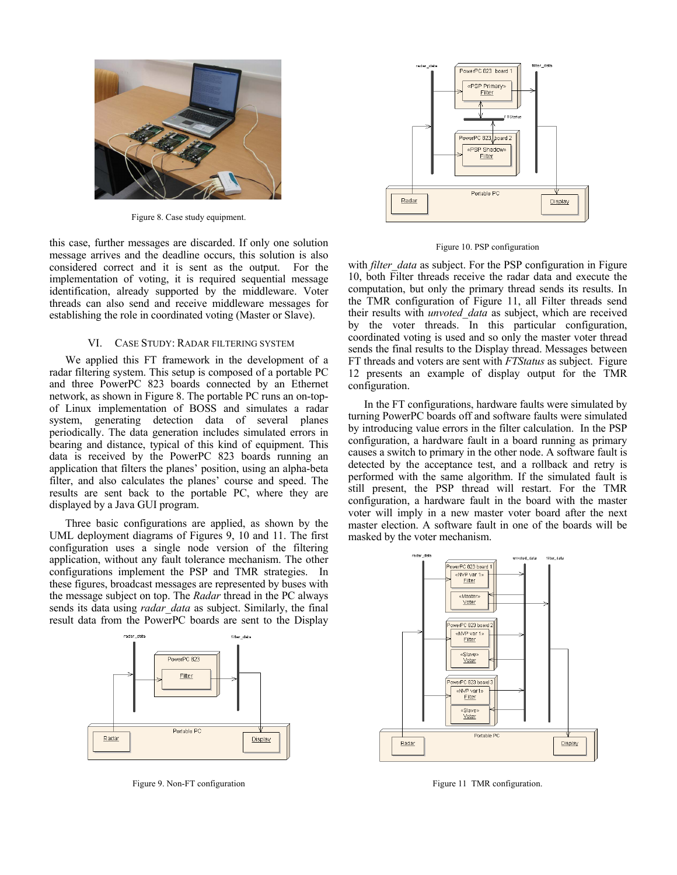

Figure 8. Case study equipment.

this case, further messages are discarded. If only one solution message arrives and the deadline occurs, this solution is also considered correct and it is sent as the output. For the implementation of voting, it is required sequential message identification, already supported by the middleware. Voter threads can also send and receive middleware messages for establishing the role in coordinated voting (Master or Slave).

#### VI. CASE STUDY: RADAR FILTERING SYSTEM

We applied this FT framework in the development of a radar filtering system. This setup is composed of a portable PC and three PowerPC 823 boards connected by an Ethernet network, as shown in Figure 8. The portable PC runs an on-topof Linux implementation of BOSS and simulates a radar system, generating detection data of several planes periodically. The data generation includes simulated errors in bearing and distance, typical of this kind of equipment. This data is received by the PowerPC 823 boards running an application that filters the planes' position, using an alpha-beta filter, and also calculates the planes' course and speed. The results are sent back to the portable PC, where they are displayed by a Java GUI program.

Three basic configurations are applied, as shown by the UML deployment diagrams of Figures 9, 10 and 11. The first configuration uses a single node version of the filtering application, without any fault tolerance mechanism. The other configurations implement the PSP and TMR strategies. In these figures, broadcast messages are represented by buses with the message subject on top. The *Radar* thread in the PC always sends its data using *radar\_data* as subject. Similarly, the final result data from the PowerPC boards are sent to the Display





Figure 10. PSP configuration

with *filter data* as subject. For the PSP configuration in Figure 10, both Filter threads receive the radar data and execute the computation, but only the primary thread sends its results. In the TMR configuration of Figure 11, all Filter threads send their results with *unvoted\_data* as subject, which are received by the voter threads. In this particular configuration, coordinated voting is used and so only the master voter thread sends the final results to the Display thread. Messages between FT threads and voters are sent with *FTStatus* as subject. Figure 12 presents an example of display output for the TMR configuration.

In the FT configurations, hardware faults were simulated by turning PowerPC boards off and software faults were simulated by introducing value errors in the filter calculation. In the PSP configuration, a hardware fault in a board running as primary causes a switch to primary in the other node. A software fault is detected by the acceptance test, and a rollback and retry is performed with the same algorithm. If the simulated fault is still present, the PSP thread will restart. For the TMR configuration, a hardware fault in the board with the master voter will imply in a new master voter board after the next master election. A software fault in one of the boards will be masked by the voter mechanism.



Figure 9. Non-FT configuration Figure 11 TMR configuration.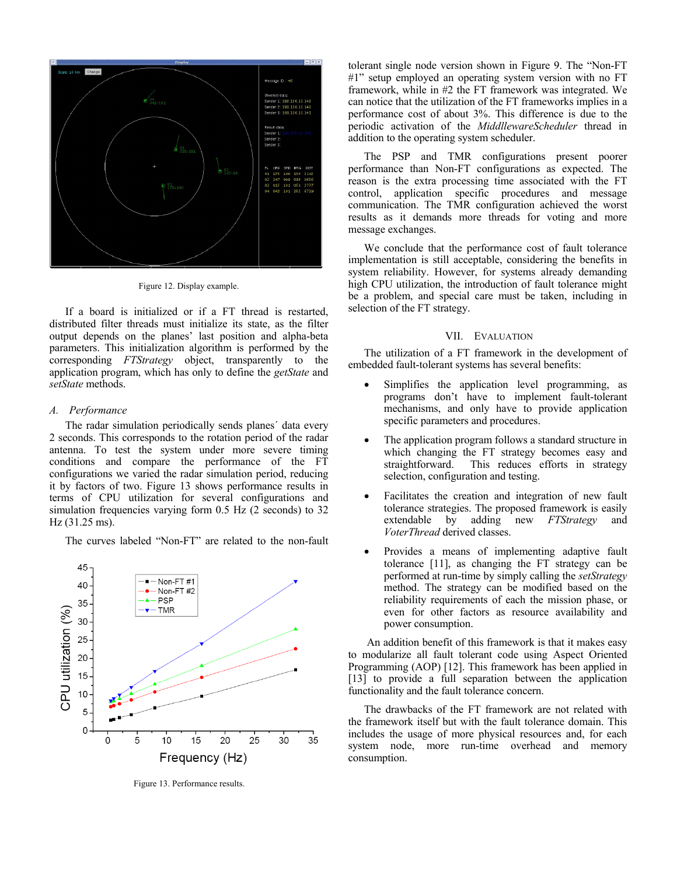

Figure 12. Display example.

If a board is initialized or if a FT thread is restarted, distributed filter threads must initialize its state, as the filter output depends on the planes' last position and alpha-beta parameters. This initialization algorithm is performed by the corresponding *FTStrategy* object, transparently to the application program, which has only to define the *getState* and *setState* methods.

# *A. Performance*

The radar simulation periodically sends planes´ data every 2 seconds. This corresponds to the rotation period of the radar antenna. To test the system under more severe timing conditions and compare the performance of the FT configurations we varied the radar simulation period, reducing it by factors of two. Figure 13 shows performance results in terms of CPU utilization for several configurations and simulation frequencies varying form 0.5 Hz (2 seconds) to 32 Hz (31.25 ms).

The curves labeled "Non-FT" are related to the non-fault



Figure 13. Performance results.

tolerant single node version shown in Figure 9. The "Non-FT #1" setup employed an operating system version with no FT framework, while in #2 the FT framework was integrated. We can notice that the utilization of the FT frameworks implies in a performance cost of about 3%. This difference is due to the periodic activation of the *MiddllewareScheduler* thread in addition to the operating system scheduler.

The PSP and TMR configurations present poorer performance than Non-FT configurations as expected. The reason is the extra processing time associated with the FT control, application specific procedures and message communication. The TMR configuration achieved the worst results as it demands more threads for voting and more message exchanges.

We conclude that the performance cost of fault tolerance implementation is still acceptable, considering the benefits in system reliability. However, for systems already demanding high CPU utilization, the introduction of fault tolerance might be a problem, and special care must be taken, including in selection of the FT strategy.

# VII. EVALUATION

The utilization of a FT framework in the development of embedded fault-tolerant systems has several benefits:

- Simplifies the application level programming, as programs don't have to implement fault-tolerant mechanisms, and only have to provide application specific parameters and procedures.
- The application program follows a standard structure in which changing the FT strategy becomes easy and straightforward. This reduces efforts in strategy selection, configuration and testing.
- Facilitates the creation and integration of new fault tolerance strategies. The proposed framework is easily extendable by adding new *FTStrategy* and *VoterThread* derived classes.
- Provides a means of implementing adaptive fault tolerance [11], as changing the FT strategy can be performed at run-time by simply calling the *setStrategy* method. The strategy can be modified based on the reliability requirements of each the mission phase, or even for other factors as resource availability and power consumption.

 An addition benefit of this framework is that it makes easy to modularize all fault tolerant code using Aspect Oriented Programming (AOP) [12]. This framework has been applied in [13] to provide a full separation between the application functionality and the fault tolerance concern.

The drawbacks of the FT framework are not related with the framework itself but with the fault tolerance domain. This includes the usage of more physical resources and, for each system node, more run-time overhead and memory consumption.